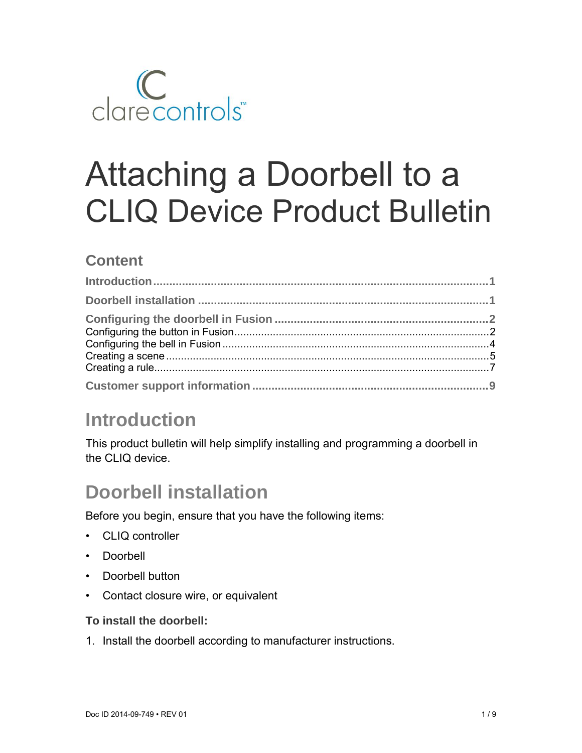

# Attaching a Doorbell to a CLIQ Device Product Bulletin

### **Content**

# **Introduction**

This product bulletin will help simplify installing and programming a doorbell in the CLIQ device.

# **Doorbell installation**

Before you begin, ensure that you have the following items:

- CLIQ controller
- Doorbell
- Doorbell button
- Contact closure wire, or equivalent

#### **To install the doorbell:**

1. Install the doorbell according to manufacturer instructions.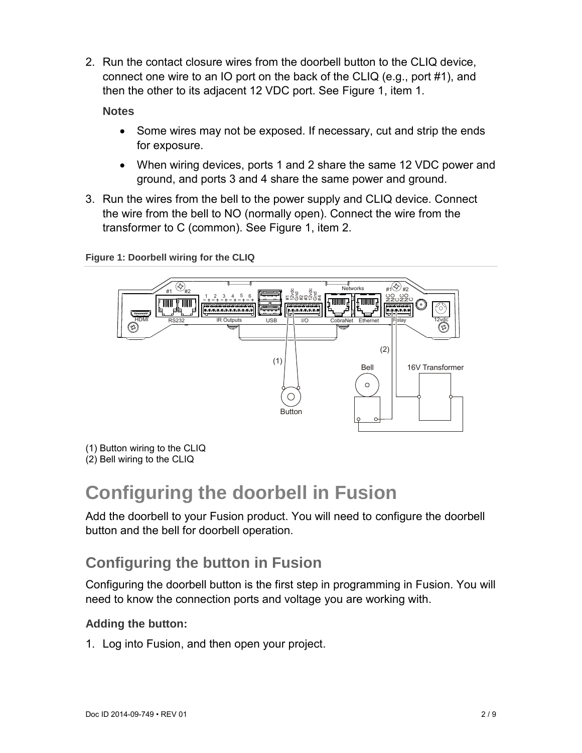2. Run the contact closure wires from the doorbell button to the CLIQ device, connect one wire to an IO port on the back of the CLIQ (e.g., port #1), and then the other to its adjacent 12 VDC port. See Figure 1, item 1.

**Notes** 

- Some wires may not be exposed. If necessary, cut and strip the ends for exposure.
- When wiring devices, ports 1 and 2 share the same 12 VDC power and ground, and ports 3 and 4 share the same power and ground.
- 3. Run the wires from the bell to the power supply and CLIQ device. Connect the wire from the bell to NO (normally open). Connect the wire from the transformer to C (common). See Figure 1, item 2.



**Figure 1: Doorbell wiring for the CLIQ** 

- (1) Button wiring to the CLIQ
- (2) Bell wiring to the CLIQ

# **Configuring the doorbell in Fusion**

Add the doorbell to your Fusion product. You will need to configure the doorbell button and the bell for doorbell operation.

### **Configuring the button in Fusion**

Configuring the doorbell button is the first step in programming in Fusion. You will need to know the connection ports and voltage you are working with.

#### **Adding the button:**

1. Log into Fusion, and then open your project.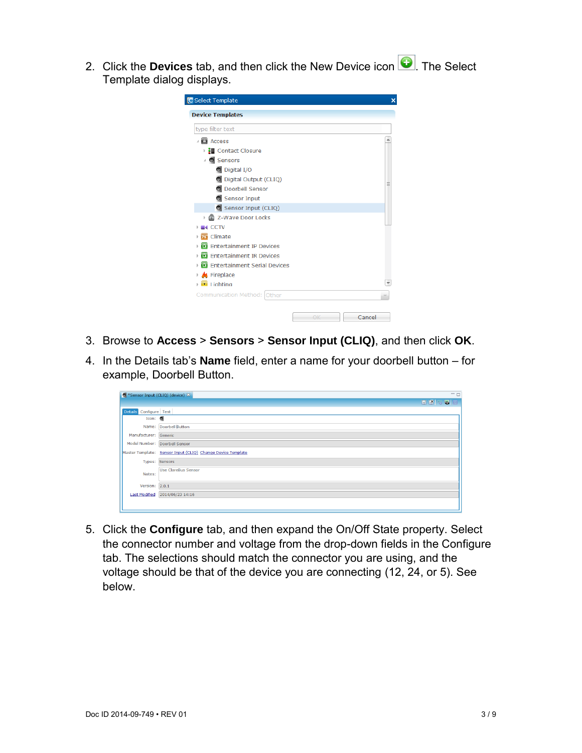2. Click the **Devices** tab, and then click the New Device icon **Q**. The Select Template dialog displays.

| <b>Device Templates</b><br>type filter text |  |
|---------------------------------------------|--|
|                                             |  |
|                                             |  |
| Access                                      |  |
| ▶ H Contact Closure                         |  |
| △ Sensors                                   |  |
| O Digital I/O                               |  |
| O Digital Output (CLIQ)                     |  |
| O Doorbell Sensor                           |  |
| Sensor Input                                |  |
| Sensor Input (CLIQ)                         |  |
| ▶ 圖 Z-Wave Door Locks                       |  |
| $\blacksquare$                              |  |
| <sub>76</sub> Climate                       |  |
| Entertainment IP Devices                    |  |
| Entertainment IR Devices                    |  |
| El Entertainment Serial Devices             |  |
| <b>K</b> Fireplace<br>þ                     |  |
| $\blacksquare$ Lighting                     |  |
| Communication Method:<br>Other              |  |
| Cancel                                      |  |

- 3. Browse to **Access** > **Sensors** > **Sensor Input (CLIQ)**, and then click **OK**.
- 4. In the Details tab's **Name** field, enter a name for your doorbell button for example, Doorbell Button.

| O *Sensor Input (CLIQ) (device) $\%$ | $=$ $\Box$                                                  |
|--------------------------------------|-------------------------------------------------------------|
|                                      | <b>HKF5</b><br>53                                           |
| Details Configure Test               |                                                             |
| Icon: $\bullet$                      |                                                             |
|                                      | Name: Doorbell Button                                       |
| Manufacturer: Generic                |                                                             |
|                                      | Model Number: Doorbell Sensor                               |
|                                      | Master Template: Sensor Input (CLIQ) Change Device Template |
|                                      | Types: Sensors                                              |
| Notes:                               | Use ClareBus Sensor                                         |
| Version: 2.0.1                       |                                                             |
| <b>Last Modified</b>                 | 2014/06/23 14:16                                            |
|                                      |                                                             |

5. Click the **Configure** tab, and then expand the On/Off State property. Select the connector number and voltage from the drop-down fields in the Configure tab. The selections should match the connector you are using, and the voltage should be that of the device you are connecting (12, 24, or 5). See below.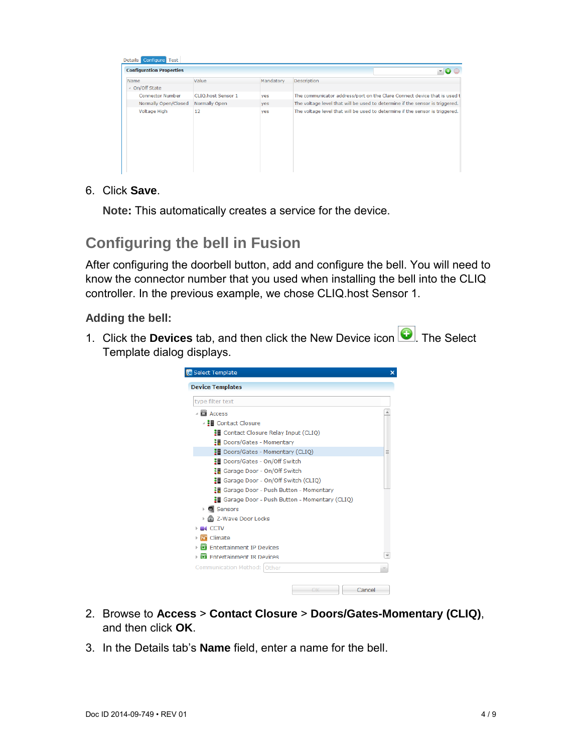| <b>Configuration Properties</b> |                    |           | 10 Q                                                                         |
|---------------------------------|--------------------|-----------|------------------------------------------------------------------------------|
| Name                            | Value              | Mandatory | <b>Description</b>                                                           |
| ▲ On/Off State                  |                    |           |                                                                              |
| <b>Connector Number</b>         | CLIQ.host Sensor 1 | yes       | The communicator address/port on the Clare Connect device that is used t     |
| Normally Open/Closed            | Normally Open      | yes       | The voltage level that will be used to determine if the sensor is triggered. |
| Voltage High                    | 12                 | yes       | The voltage level that will be used to determine if the sensor is triggered. |

6. Click **Save**.

**Note:** This automatically creates a service for the device.

### **Configuring the bell in Fusion**

After configuring the doorbell button, add and configure the bell. You will need to know the connector number that you used when installing the bell into the CLIQ controller. In the previous example, we chose CLIQ.host Sensor 1.

#### **Adding the bell:**

1. Click the **Devices** tab, and then click the New Device icon **Q**. The Select Template dialog displays.

| type filter text                                      |  |
|-------------------------------------------------------|--|
| $\triangleq$ <b>EX</b> Access                         |  |
| △ H Contact Closure                                   |  |
| <b>II</b> Contact Closure Relay Input (CLIO)          |  |
| ※■ Doors/Gates - Momentary                            |  |
| <b>II</b> Doors/Gates - Momentary (CLIQ)              |  |
| <b>■ Doors/Gates - On/Off Switch</b>                  |  |
| • Garage Door - On/Off Switch                         |  |
| : Garage Door - On/Off Switch (CLIO)                  |  |
| ※ Garage Door - Push Button - Momentary               |  |
| <b>H</b> Garage Door - Push Button - Momentary (CLIQ) |  |
| <b>O</b> Sensors<br>Þ.                                |  |
| 은 Z-Wave Door Locks                                   |  |
| CCTV                                                  |  |
| 76 Climate                                            |  |
| El Entertainment IP Devices                           |  |
| <b>El Entertainment IR Devices</b>                    |  |
| Communication Method: Other                           |  |

- 2. Browse to **Access** > **Contact Closure** > **Doors/Gates-Momentary (CLIQ)**, and then click **OK**.
- 3. In the Details tab's **Name** field, enter a name for the bell.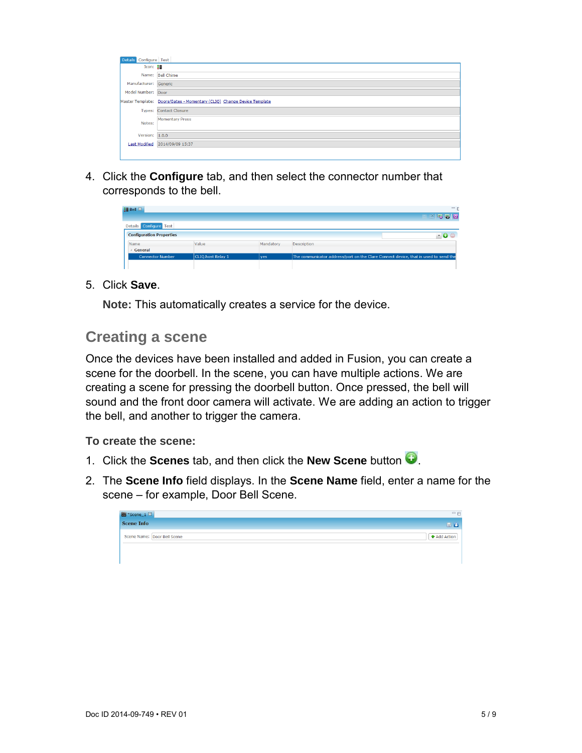| Configure Test<br><b>Details</b> |                                                                        |
|----------------------------------|------------------------------------------------------------------------|
| Icon: $\frac{1}{2}$              |                                                                        |
|                                  | Name: Bell Chime                                                       |
| Manufacturer: Generic            |                                                                        |
| Model Number: Door               |                                                                        |
|                                  | Master Template: Doors/Gates - Momentary (CLIQ) Change Device Template |
|                                  | Types: Contact Closure                                                 |
| Notes:                           | <b>Momentary Press</b>                                                 |
| Version: $1.0.0$                 |                                                                        |
|                                  | Last Modified 2014/09/09 15:37                                         |
|                                  |                                                                        |

4. Click the **Configure** tab, and then select the connector number that corresponds to the bell.

| <b>細 Bell ※</b>                 |                   |           | ΞE                                                                                  |
|---------------------------------|-------------------|-----------|-------------------------------------------------------------------------------------|
|                                 |                   |           | <b>MEER</b>                                                                         |
| Details Configure Test          |                   |           |                                                                                     |
| <b>Configuration Properties</b> |                   |           |                                                                                     |
| Name                            | Value             | Mandatory | Description                                                                         |
| General                         |                   |           |                                                                                     |
| <b>Connector Number</b>         | CLIQ.host Relay 1 | ves       | The communicator address/port on the Clare Connect device, that is used to send the |
|                                 |                   |           |                                                                                     |

#### 5. Click **Save**.

**Note:** This automatically creates a service for the device.

#### **Creating a scene**

Once the devices have been installed and added in Fusion, you can create a scene for the doorbell. In the scene, you can have multiple actions. We are creating a scene for pressing the doorbell button. Once pressed, the bell will sound and the front door camera will activate. We are adding an action to trigger the bell, and another to trigger the camera.

**To create the scene:** 

- 1. Click the **Scenes** tab, and then click the **New Scene** button  $\bullet$ .
- 2. The **Scene Info** field displays. In the **Scene Name** field, enter a name for the scene – for example, Door Bell Scene.

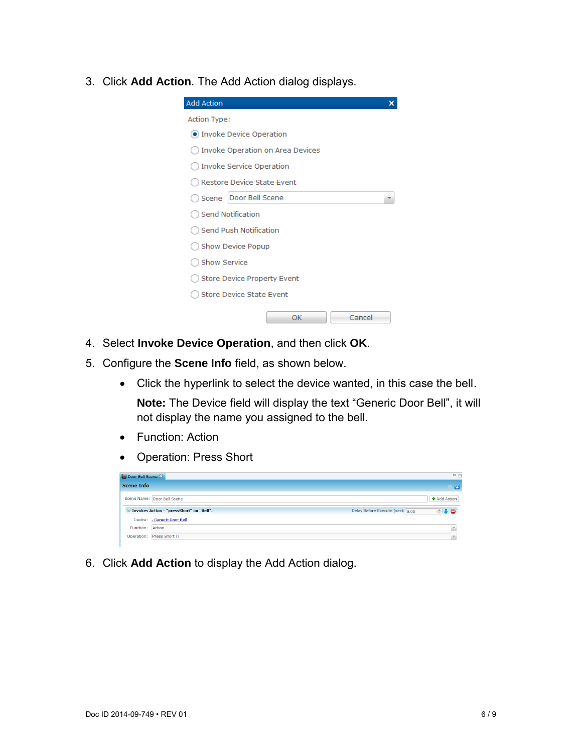3. Click **Add Action**. The Add Action dialog displays.

| <b>Add Action</b>                  |  |
|------------------------------------|--|
| <b>Action Type:</b>                |  |
| O Invoke Device Operation          |  |
| ) Invoke Operation on Area Devices |  |
| Invoke Service Operation (         |  |
| Restore Device State Event         |  |
| Door Bell Scene<br>Scene           |  |
| Send Notification                  |  |
| Send Push Notification             |  |
| ) Show Device Popup                |  |
| <b>Show Service</b>                |  |
| <b>Store Device Property Event</b> |  |
| <b>Store Device State Event</b>    |  |
| OK<br>Cancel                       |  |

- 4. Select **Invoke Device Operation**, and then click **OK**.
- 5. Configure the **Scene Info** field, as shown below.
	- Click the hyperlink to select the device wanted, in this case the bell.

**Note:** The Device field will display the text "Generic Door Bell", it will not display the name you assigned to the bell.

- Function: Action
- Operation: Press Short

| Door Bell Scene &                          | $=$ $=$                                                   |
|--------------------------------------------|-----------------------------------------------------------|
| <b>Scene Info</b>                          | 西                                                         |
| Scene Name: Door Bell Scene                | Add Action                                                |
| E Invokes Action - "pressShort" on "Bell". | Delay Before Execute (sec): 0.00<br>$\triangle$ $\ominus$ |
| Device: - Generic Door Bell                |                                                           |
| Function: Action                           |                                                           |
| Operation: Press Short ()                  |                                                           |

6. Click **Add Action** to display the Add Action dialog.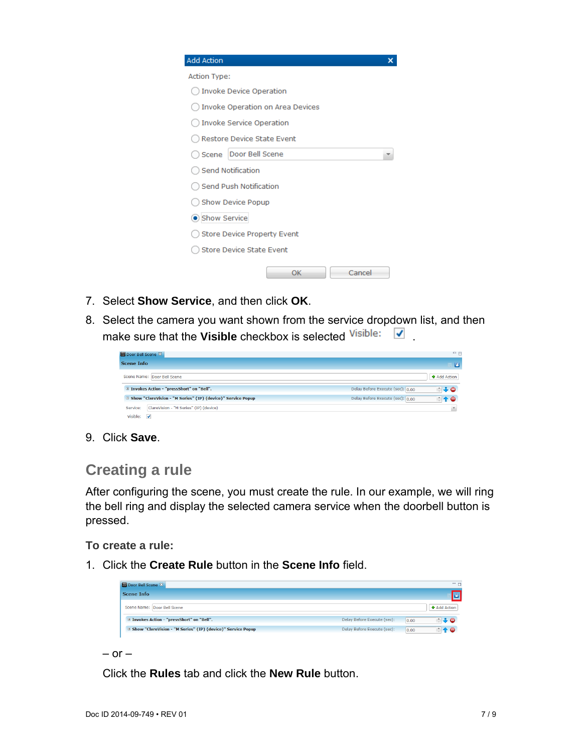| <b>Add Action</b>   |                                         |  |
|---------------------|-----------------------------------------|--|
| <b>Action Type:</b> |                                         |  |
|                     | <b>Invoke Device Operation</b>          |  |
|                     | <b>Invoke Operation on Area Devices</b> |  |
|                     | Invoke Service Operation                |  |
|                     | Restore Device State Event              |  |
| Scene               | Door Bell Scene                         |  |
|                     | <b>Send Notification</b>                |  |
|                     | <b>Send Push Notification</b>           |  |
|                     | Show Device Popup                       |  |
| Show Service        |                                         |  |
|                     | Store Device Property Event             |  |
|                     | <b>Store Device State Event</b>         |  |
|                     | OK<br>Cancel                            |  |

- 7. Select **Show Service**, and then click **OK**.
- 8. Select the camera you want shown from the service dropdown list, and then make sure that the Visible checkbox is selected Visible:

| Door Bell Scene &                                             | $=$ $\Box$                                                                    |
|---------------------------------------------------------------|-------------------------------------------------------------------------------|
| <b>Scene Info</b>                                             | 76                                                                            |
| Scene Name: Door Bell Scene                                   | <b>+</b> Add Action                                                           |
| E Invokes Action - "pressShort" on "Bell".                    | Delay Before Execute (sec): 0.00<br>$\frac{1}{2}$ $\frac{1}{2}$ $\frac{1}{2}$ |
| E Show "ClareVision - "M Series" (IP) (device)" Service Popup | Delay Before Execute (sec): 0.00<br>$\triangleq \, \, \blacklozenge$          |
| ClareVision - "M Series" (IP) (device)<br>Service:            |                                                                               |
| Visible:<br>$\overline{\mathcal{L}}$                          |                                                                               |

9. Click **Save**.

#### **Creating a rule**

After configuring the scene, you must create the rule. In our example, we will ring the bell ring and display the selected camera service when the doorbell button is pressed.

**To create a rule:** 

1. Click the **Create Rule** button in the **Scene Info** field.

| <b>Scene Info</b>                                             |                             |      |                                   |
|---------------------------------------------------------------|-----------------------------|------|-----------------------------------|
| Scene Name: Door Bell Scene                                   |                             |      | Add Action                        |
| E Invokes Action - "pressShort" on "Bell".                    | Delay Before Execute (sec): | 0.00 | $\triangle$ $\clubsuit$ $\ominus$ |
| E Show "ClareVision - "M Series" (IP) (device)" Service Popup | Delay Before Execute (sec): | 0.00 | r e                               |

 $-$  or  $-$ 

Click the **Rules** tab and click the **New Rule** button.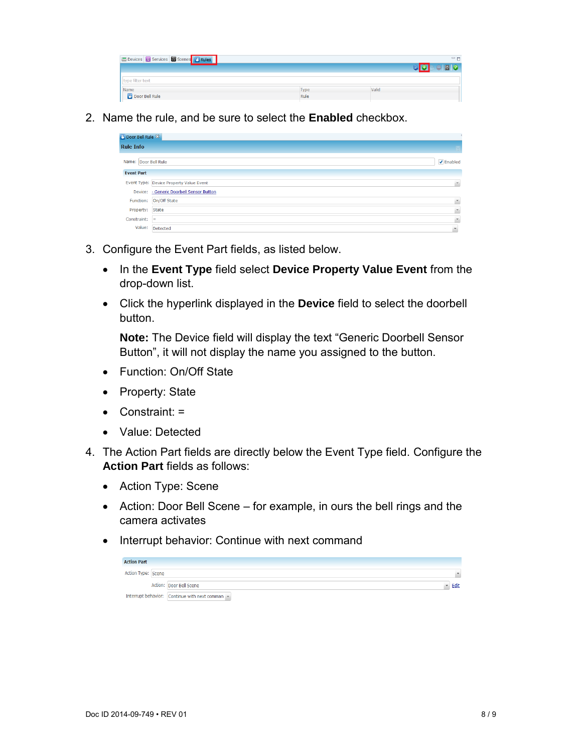| Devices <b>&amp; Services</b> Scenes <b>&amp; Rules</b> |              | $\qquad \qquad \blacksquare$ |
|---------------------------------------------------------|--------------|------------------------------|
|                                                         |              |                              |
| type filter text                                        |              |                              |
| Name<br><b>Door Bell Rule</b>                           | Type<br>Rule | Valid                        |

2. Name the rule, and be sure to select the **Enabled** checkbox.

| Door Bell Rule &     |                                          |                          |  |
|----------------------|------------------------------------------|--------------------------|--|
| <b>Rule Info</b>     |                                          |                          |  |
| Name: Door Bell Rule |                                          | $\sqrt{}$ Enabled        |  |
| <b>Event Part</b>    |                                          |                          |  |
|                      | Event Type: Device Property Value Event  | $\bar{\mathbf{v}}$       |  |
|                      | Device: - Generic Doorbell Sensor Button |                          |  |
|                      | Function: On/Off State                   | $\overline{\phantom{a}}$ |  |
| Property:            | State                                    | $\overline{\mathbf{v}}$  |  |
| Constraint:          | $=$                                      | $\overline{\phantom{a}}$ |  |
|                      | Value: Detected                          | $\sim$                   |  |

- 3. Configure the Event Part fields, as listed below.
	- In the **Event Type** field select **Device Property Value Event** from the drop-down list.
	- Click the hyperlink displayed in the **Device** field to select the doorbell button.

**Note:** The Device field will display the text "Generic Doorbell Sensor Button", it will not display the name you assigned to the button.

- Function: On/Off State
- Property: State
- Constraint: =
- Value: Detected
- 4. The Action Part fields are directly below the Event Type field. Configure the **Action Part** fields as follows:
	- Action Type: Scene
	- Action: Door Bell Scene for example, in ours the bell rings and the camera activates
	- Interrupt behavior: Continue with next command

| <b>Action Part</b> |                                               |      |
|--------------------|-----------------------------------------------|------|
| Action Type: Scene |                                               |      |
|                    | Action: Door Bell Scene                       | Edit |
|                    | Interrupt behavior: Continue with next comman |      |